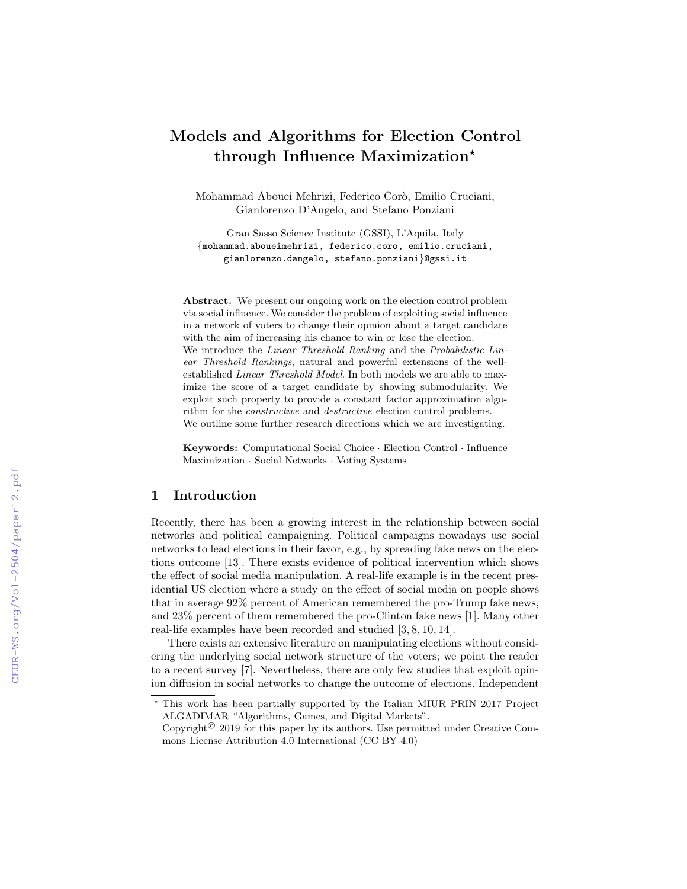# Models and Algorithms for Election Control through Influence Maximization?

Mohammad Abouei Mehrizi, Federico Corò, Emilio Cruciani, Gianlorenzo D'Angelo, and Stefano Ponziani

Gran Sasso Science Institute (GSSI), L'Aquila, Italy {mohammad.aboueimehrizi, federico.coro, emilio.cruciani, gianlorenzo.dangelo, stefano.ponziani}@gssi.it

Abstract. We present our ongoing work on the election control problem via social influence. We consider the problem of exploiting social influence in a network of voters to change their opinion about a target candidate with the aim of increasing his chance to win or lose the election. We introduce the *Linear Threshold Ranking* and the *Probabilistic Lin*ear Threshold Rankings, natural and powerful extensions of the wellestablished Linear Threshold Model. In both models we are able to maximize the score of a target candidate by showing submodularity. We exploit such property to provide a constant factor approximation algorithm for the constructive and destructive election control problems. We outline some further research directions which we are investigating.

Keywords: Computational Social Choice · Election Control · Influence Maximization · Social Networks · Voting Systems

## 1 Introduction

Recently, there has been a growing interest in the relationship between social networks and political campaigning. Political campaigns nowadays use social networks to lead elections in their favor, e.g., by spreading fake news on the elections outcome [13]. There exists evidence of political intervention which shows the effect of social media manipulation. A real-life example is in the recent presidential US election where a study on the effect of social media on people shows that in average 92% percent of American remembered the pro-Trump fake news, and 23% percent of them remembered the pro-Clinton fake news [1]. Many other real-life examples have been recorded and studied [3, 8, 10, 14].

There exists an extensive literature on manipulating elections without considering the underlying social network structure of the voters; we point the reader to a recent survey [7]. Nevertheless, there are only few studies that exploit opinion diffusion in social networks to change the outcome of elections. Independent

<sup>?</sup> This work has been partially supported by the Italian MIUR PRIN 2017 Project ALGADIMAR "Algorithms, Games, and Digital Markets".

Copyright<sup> $©$ </sup> 2019 for this paper by its authors. Use permitted under Creative Commons License Attribution 4.0 International (CC BY 4.0)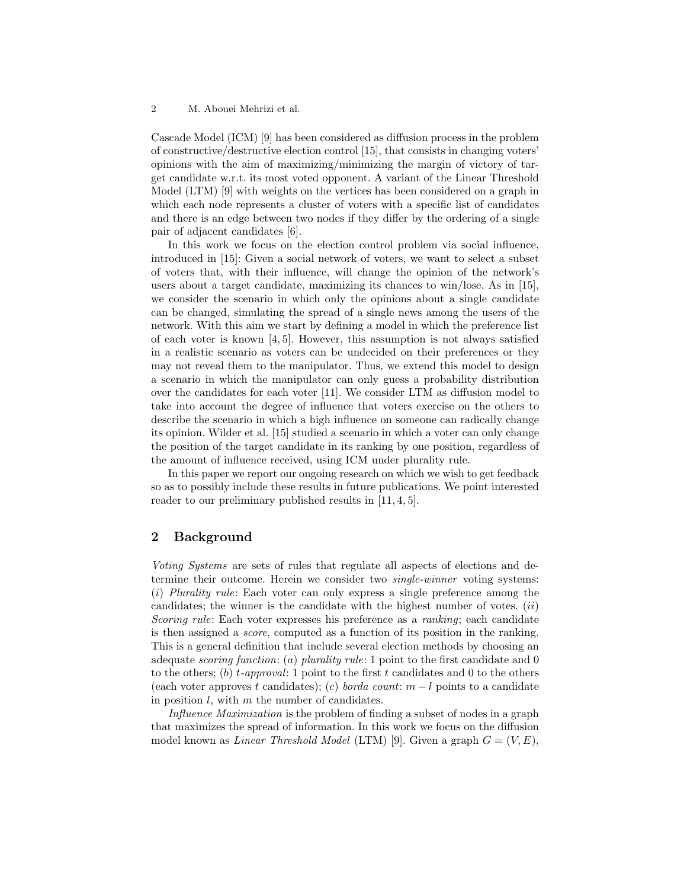#### 2 M. Abouei Mehrizi et al.

Cascade Model (ICM) [9] has been considered as diffusion process in the problem of constructive/destructive election control [15], that consists in changing voters' opinions with the aim of maximizing/minimizing the margin of victory of target candidate w.r.t. its most voted opponent. A variant of the Linear Threshold Model (LTM) [9] with weights on the vertices has been considered on a graph in which each node represents a cluster of voters with a specific list of candidates and there is an edge between two nodes if they differ by the ordering of a single pair of adjacent candidates [6].

In this work we focus on the election control problem via social influence, introduced in [15]: Given a social network of voters, we want to select a subset of voters that, with their influence, will change the opinion of the network's users about a target candidate, maximizing its chances to win/lose. As in [15], we consider the scenario in which only the opinions about a single candidate can be changed, simulating the spread of a single news among the users of the network. With this aim we start by defining a model in which the preference list of each voter is known [4, 5]. However, this assumption is not always satisfied in a realistic scenario as voters can be undecided on their preferences or they may not reveal them to the manipulator. Thus, we extend this model to design a scenario in which the manipulator can only guess a probability distribution over the candidates for each voter [11]. We consider LTM as diffusion model to take into account the degree of influence that voters exercise on the others to describe the scenario in which a high influence on someone can radically change its opinion. Wilder et al. [15] studied a scenario in which a voter can only change the position of the target candidate in its ranking by one position, regardless of the amount of influence received, using ICM under plurality rule.

In this paper we report our ongoing research on which we wish to get feedback so as to possibly include these results in future publications. We point interested reader to our preliminary published results in  $[11, 4, 5]$ .

## 2 Background

Voting Systems are sets of rules that regulate all aspects of elections and determine their outcome. Herein we consider two single-winner voting systems: (i) Plurality rule: Each voter can only express a single preference among the candidates; the winner is the candidate with the highest number of votes.  $(ii)$ Scoring rule: Each voter expresses his preference as a ranking; each candidate is then assigned a score, computed as a function of its position in the ranking. This is a general definition that include several election methods by choosing an adequate scoring function: (a) plurality rule: 1 point to the first candidate and  $0$ to the others; (b) t-approval: 1 point to the first t candidates and 0 to the others (each voter approves t candidates); (c) borda count:  $m - l$  points to a candidate in position  $l$ , with  $m$  the number of candidates.

Influence Maximization is the problem of finding a subset of nodes in a graph that maximizes the spread of information. In this work we focus on the diffusion model known as *Linear Threshold Model* (LTM) [9]. Given a graph  $G = (V, E)$ ,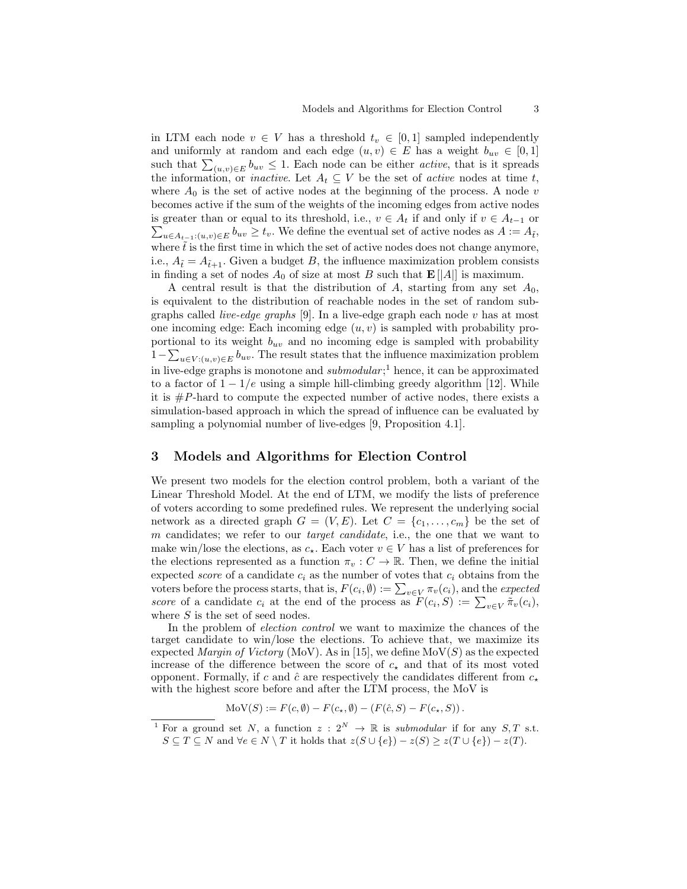in LTM each node  $v \in V$  has a threshold  $t_v \in [0,1]$  sampled independently and uniformly at random and each edge  $(u, v) \in E$  has a weight  $b_{uv} \in [0, 1]$ such that  $\sum_{(u,v)\in E} b_{uv} \leq 1$ . Each node can be either *active*, that is it spreads the information, or *inactive*. Let  $A_t \subseteq V$  be the set of *active* nodes at time t, where  $A_0$  is the set of active nodes at the beginning of the process. A node v becomes active if the sum of the weights of the incoming edges from active nodes  $\sum_{u \in A_{t-1}: (u,v) \in E} b_{uv} \geq t_v$ . We define the eventual set of active nodes as  $A := A_{\tilde{t}},$ is greater than or equal to its threshold, i.e.,  $v \in A_t$  if and only if  $v \in A_{t-1}$  or where  $\tilde{t}$  is the first time in which the set of active nodes does not change anymore, i.e.,  $A_{\tilde{t}} = A_{\tilde{t}+1}$ . Given a budget B, the influence maximization problem consists in finding a set of nodes  $A_0$  of size at most B such that  $\mathbf{E}[A]]$  is maximum.

A central result is that the distribution of A, starting from any set  $A_0$ , is equivalent to the distribution of reachable nodes in the set of random subgraphs called *live-edge graphs* [9]. In a live-edge graph each node  $v$  has at most one incoming edge: Each incoming edge  $(u, v)$  is sampled with probability proportional to its weight  $b_{uv}$  and no incoming edge is sampled with probability  $1-\sum_{u\in V:(u,v)\in E}b_{uv}$ . The result states that the influence maximization problem in live-edge graphs is monotone and  $submodular$ ;<sup>1</sup> hence, it can be approximated to a factor of  $1 - 1/e$  using a simple hill-climbing greedy algorithm [12]. While it is  $\#P$ -hard to compute the expected number of active nodes, there exists a simulation-based approach in which the spread of influence can be evaluated by sampling a polynomial number of live-edges [9, Proposition 4.1].

## 3 Models and Algorithms for Election Control

We present two models for the election control problem, both a variant of the Linear Threshold Model. At the end of LTM, we modify the lists of preference of voters according to some predefined rules. We represent the underlying social network as a directed graph  $G = (V, E)$ . Let  $C = \{c_1, \ldots, c_m\}$  be the set of m candidates; we refer to our *target candidate*, i.e., the one that we want to make win/lose the elections, as  $c_{\star}$ . Each voter  $v \in V$  has a list of preferences for the elections represented as a function  $\pi_v : C \to \mathbb{R}$ . Then, we define the initial expected *score* of a candidate  $c_i$  as the number of votes that  $c_i$  obtains from the voters before the process starts, that is,  $F(c_i, \emptyset) := \sum_{v \in V} \pi_v(c_i)$ , and the expected score of a candidate  $c_i$  at the end of the process as  $F(c_i, S) := \sum_{v \in V} \tilde{\pi}_v(c_i)$ , where  $S$  is the set of seed nodes.

In the problem of election control we want to maximize the chances of the target candidate to win/lose the elections. To achieve that, we maximize its expected Margin of Victory (MoV). As in [15], we define  $\text{MoV}(S)$  as the expected increase of the difference between the score of  $c_{\star}$  and that of its most voted opponent. Formally, if c and  $\hat{c}$  are respectively the candidates different from  $c_{\star}$ with the highest score before and after the LTM process, the MoV is

MoV(S) := 
$$
F(c, \emptyset) - F(c_{\star}, \emptyset) - (F(\hat{c}, S) - F(c_{\star}, S))
$$
.

<sup>&</sup>lt;sup>1</sup> For a ground set N, a function  $z : 2^N \to \mathbb{R}$  is submodular if for any S, T s.t.  $S \subseteq T \subseteq N$  and  $\forall e \in N \setminus T$  it holds that  $z(S \cup \{e\}) - z(S) \geq z(T \cup \{e\}) - z(T)$ .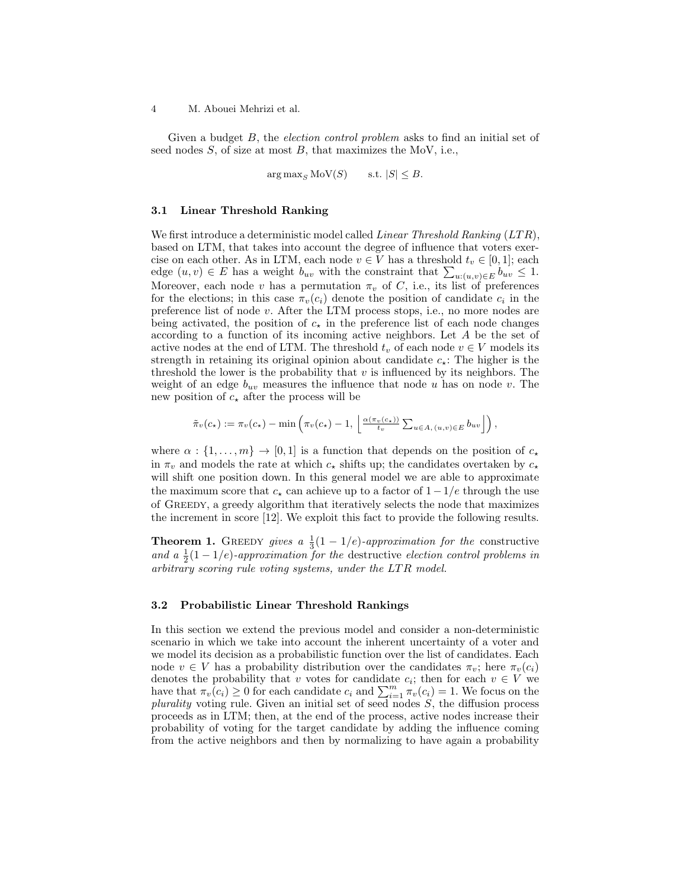4 M. Abouei Mehrizi et al.

Given a budget B, the election control problem asks to find an initial set of seed nodes  $S$ , of size at most  $B$ , that maximizes the MoV, i.e.,

 $\arg \max_{S} \text{MoV}(S)$  s.t.  $|S| \leq B$ .

#### 3.1 Linear Threshold Ranking

We first introduce a deterministic model called *Linear Threshold Ranking*  $(LTR)$ , based on LTM, that takes into account the degree of influence that voters exercise on each other. As in LTM, each node  $v \in V$  has a threshold  $t_v \in [0,1]$ ; each edge  $(u, v) \in E$  has a weight  $b_{uv}$  with the constraint that  $\sum_{u:(u,v)\in E} b_{uv} \leq 1$ . Moreover, each node v has a permutation  $\pi_v$  of C, i.e., its list of preferences for the elections; in this case  $\pi_v(c_i)$  denote the position of candidate  $c_i$  in the preference list of node v. After the LTM process stops, i.e., no more nodes are being activated, the position of  $c_{\star}$  in the preference list of each node changes according to a function of its incoming active neighbors. Let A be the set of active nodes at the end of LTM. The threshold  $t_v$  of each node  $v \in V$  models its strength in retaining its original opinion about candidate  $c_{\star}$ : The higher is the threshold the lower is the probability that  $v$  is influenced by its neighbors. The weight of an edge  $b_{uv}$  measures the influence that node u has on node v. The new position of  $c_{\star}$  after the process will be

$$
\tilde{\pi}_v(c_\star) := \pi_v(c_\star) - \min\left(\pi_v(c_\star) - 1, \left\lfloor \frac{\alpha(\pi_v(c_\star))}{t_v} \sum_{u \in A, (u,v) \in E} b_{uv} \right\rfloor \right),
$$

where  $\alpha : \{1, \ldots, m\} \to [0, 1]$  is a function that depends on the position of  $c_{\star}$ in  $\pi_v$  and models the rate at which  $c_{\star}$  shifts up; the candidates overtaken by  $c_{\star}$ will shift one position down. In this general model we are able to approximate the maximum score that  $c_{\star}$  can achieve up to a factor of  $1-1/e$  through the use of Greedy, a greedy algorithm that iteratively selects the node that maximizes the increment in score [12]. We exploit this fact to provide the following results.

**Theorem 1.** GREEDY gives a  $\frac{1}{3}(1-1/e)$ -approximation for the constructive and a  $\frac{1}{2}(1-1/e)$ -approximation for the destructive election control problems in arbitrary scoring rule voting systems, under the LTR model.

#### 3.2 Probabilistic Linear Threshold Rankings

In this section we extend the previous model and consider a non-deterministic scenario in which we take into account the inherent uncertainty of a voter and we model its decision as a probabilistic function over the list of candidates. Each node  $v \in V$  has a probability distribution over the candidates  $\pi_v$ ; here  $\pi_v(c_i)$ denotes the probability that v votes for candidate  $c_i$ ; then for each  $v \in V$  we have that  $\pi_v(c_i) \geq 0$  for each candidate  $c_i$  and  $\sum_{i=1}^m \pi_v(c_i) = 1$ . We focus on the plurality voting rule. Given an initial set of seed nodes  $S$ , the diffusion process proceeds as in LTM; then, at the end of the process, active nodes increase their probability of voting for the target candidate by adding the influence coming from the active neighbors and then by normalizing to have again a probability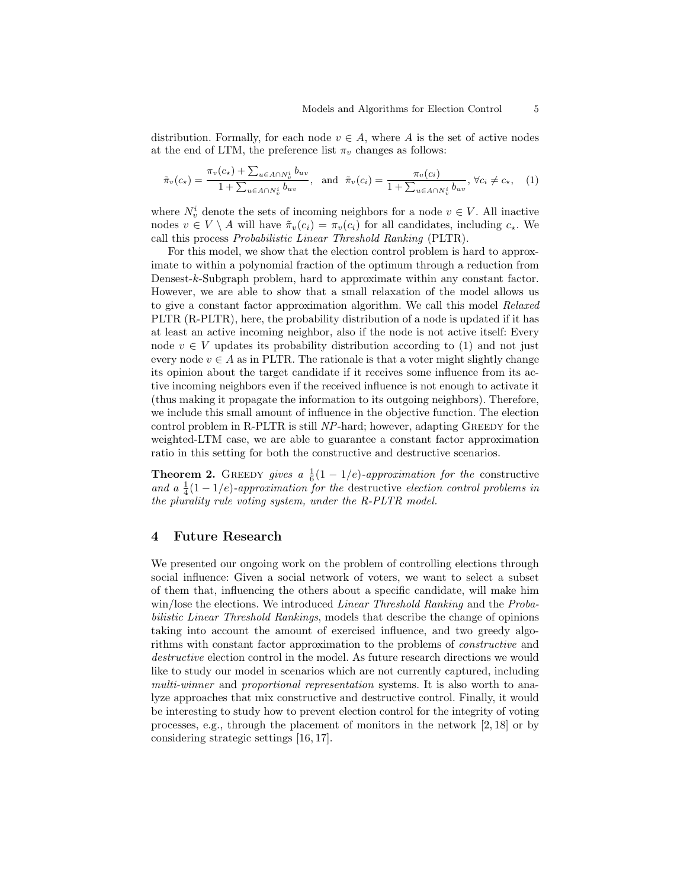distribution. Formally, for each node  $v \in A$ , where A is the set of active nodes at the end of LTM, the preference list  $\pi_v$  changes as follows:

$$
\tilde{\pi}_v(c_\star) = \frac{\pi_v(c_\star) + \sum_{u \in A \cap N_v^i} b_{uv}}{1 + \sum_{u \in A \cap N_v^i} b_{uv}}, \text{ and } \tilde{\pi}_v(c_i) = \frac{\pi_v(c_i)}{1 + \sum_{u \in A \cap N_v^i} b_{uv}}, \forall c_i \neq c_\star, \quad (1)
$$

where  $N_v^i$  denote the sets of incoming neighbors for a node  $v \in V$ . All inactive nodes  $v \in V \setminus A$  will have  $\tilde{\pi}_v(c_i) = \pi_v(c_i)$  for all candidates, including  $c_*$ . We call this process Probabilistic Linear Threshold Ranking (PLTR).

For this model, we show that the election control problem is hard to approximate to within a polynomial fraction of the optimum through a reduction from Densest-k-Subgraph problem, hard to approximate within any constant factor. However, we are able to show that a small relaxation of the model allows us to give a constant factor approximation algorithm. We call this model Relaxed PLTR (R-PLTR), here, the probability distribution of a node is updated if it has at least an active incoming neighbor, also if the node is not active itself: Every node  $v \in V$  updates its probability distribution according to (1) and not just every node  $v \in A$  as in PLTR. The rationale is that a voter might slightly change its opinion about the target candidate if it receives some influence from its active incoming neighbors even if the received influence is not enough to activate it (thus making it propagate the information to its outgoing neighbors). Therefore, we include this small amount of influence in the objective function. The election control problem in R-PLTR is still NP-hard; however, adapting GREEDY for the weighted-LTM case, we are able to guarantee a constant factor approximation ratio in this setting for both the constructive and destructive scenarios.

**Theorem 2.** GREEDY gives a  $\frac{1}{6}(1-1/e)$ -approximation for the constructive and a  $\frac{1}{4}(1-1/e)$ -approximation for the destructive election control problems in the plurality rule voting system, under the R-PLTR model.

## 4 Future Research

We presented our ongoing work on the problem of controlling elections through social influence: Given a social network of voters, we want to select a subset of them that, influencing the others about a specific candidate, will make him win/lose the elections. We introduced Linear Threshold Ranking and the Probabilistic Linear Threshold Rankings, models that describe the change of opinions taking into account the amount of exercised influence, and two greedy algorithms with constant factor approximation to the problems of constructive and destructive election control in the model. As future research directions we would like to study our model in scenarios which are not currently captured, including multi-winner and proportional representation systems. It is also worth to analyze approaches that mix constructive and destructive control. Finally, it would be interesting to study how to prevent election control for the integrity of voting processes, e.g., through the placement of monitors in the network [2, 18] or by considering strategic settings [16, 17].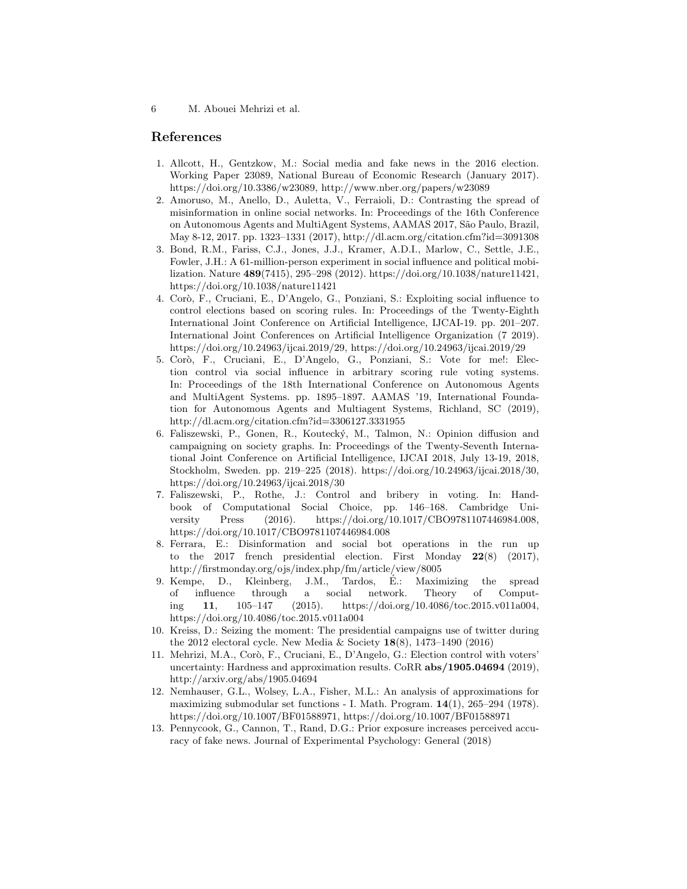6 M. Abouei Mehrizi et al.

# References

- 1. Allcott, H., Gentzkow, M.: Social media and fake news in the 2016 election. Working Paper 23089, National Bureau of Economic Research (January 2017). https://doi.org/10.3386/w23089, http://www.nber.org/papers/w23089
- 2. Amoruso, M., Anello, D., Auletta, V., Ferraioli, D.: Contrasting the spread of misinformation in online social networks. In: Proceedings of the 16th Conference on Autonomous Agents and MultiAgent Systems, AAMAS 2017, S˜ao Paulo, Brazil, May 8-12, 2017. pp. 1323–1331 (2017), http://dl.acm.org/citation.cfm?id=3091308
- 3. Bond, R.M., Fariss, C.J., Jones, J.J., Kramer, A.D.I., Marlow, C., Settle, J.E., Fowler, J.H.: A 61-million-person experiment in social influence and political mobilization. Nature 489(7415), 295–298 (2012). https://doi.org/10.1038/nature11421, https://doi.org/10.1038/nature11421
- 4. Cor`o, F., Cruciani, E., D'Angelo, G., Ponziani, S.: Exploiting social influence to control elections based on scoring rules. In: Proceedings of the Twenty-Eighth International Joint Conference on Artificial Intelligence, IJCAI-19. pp. 201–207. International Joint Conferences on Artificial Intelligence Organization (7 2019). https://doi.org/10.24963/ijcai.2019/29, https://doi.org/10.24963/ijcai.2019/29
- 5. Cor`o, F., Cruciani, E., D'Angelo, G., Ponziani, S.: Vote for me!: Election control via social influence in arbitrary scoring rule voting systems. In: Proceedings of the 18th International Conference on Autonomous Agents and MultiAgent Systems. pp. 1895–1897. AAMAS '19, International Foundation for Autonomous Agents and Multiagent Systems, Richland, SC (2019), http://dl.acm.org/citation.cfm?id=3306127.3331955
- 6. Faliszewski, P., Gonen, R., Kouteck´y, M., Talmon, N.: Opinion diffusion and campaigning on society graphs. In: Proceedings of the Twenty-Seventh International Joint Conference on Artificial Intelligence, IJCAI 2018, July 13-19, 2018, Stockholm, Sweden. pp. 219–225 (2018). https://doi.org/10.24963/ijcai.2018/30, https://doi.org/10.24963/ijcai.2018/30
- 7. Faliszewski, P., Rothe, J.: Control and bribery in voting. In: Handbook of Computational Social Choice, pp. 146–168. Cambridge University Press (2016). https://doi.org/10.1017/CBO9781107446984.008, https://doi.org/10.1017/CBO9781107446984.008
- 8. Ferrara, E.: Disinformation and social bot operations in the run up to the 2017 french presidential election. First Monday  $22(8)$  (2017), http://firstmonday.org/ojs/index.php/fm/article/view/8005
- 9. Kempe, D., Kleinberg, J.M., Tardos, E.: Maximizing the spread ´ of influence through a social network. Theory of Computing 11, 105–147 (2015). https://doi.org/10.4086/toc.2015.v011a004, https://doi.org/10.4086/toc.2015.v011a004
- 10. Kreiss, D.: Seizing the moment: The presidential campaigns use of twitter during the 2012 electoral cycle. New Media & Society  $18(8)$ , 1473–1490 (2016)
- 11. Mehrizi, M.A., Cor`o, F., Cruciani, E., D'Angelo, G.: Election control with voters' uncertainty: Hardness and approximation results. CoRR abs/1905.04694 (2019), http://arxiv.org/abs/1905.04694
- 12. Nemhauser, G.L., Wolsey, L.A., Fisher, M.L.: An analysis of approximations for maximizing submodular set functions - I. Math. Program. 14(1), 265–294 (1978). https://doi.org/10.1007/BF01588971, https://doi.org/10.1007/BF01588971
- 13. Pennycook, G., Cannon, T., Rand, D.G.: Prior exposure increases perceived accuracy of fake news. Journal of Experimental Psychology: General (2018)